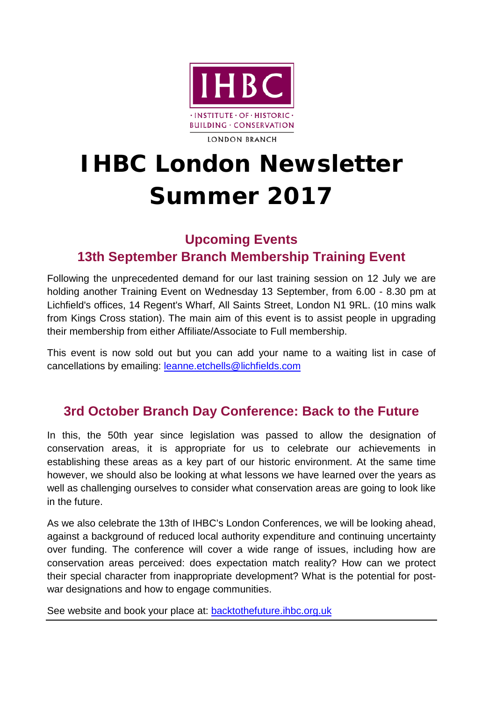

#### **LONDON BRANCH**

# **IHBC London Newsletter Summer 2017**

### **Upcoming Events**

#### **13th September Branch Membership Training Event**

Following the unprecedented demand for our last training session on 12 July we are holding another Training Event on Wednesday 13 September, from 6.00 - 8.30 pm at Lichfield's offices, 14 Regent's Wharf, All Saints Street, London N1 9RL. (10 mins walk from Kings Cross station). The main aim of this event is to assist people in upgrading their membership from either Affiliate/Associate to Full membership.

This event is now sold out but you can add your name to a waiting list in case of cancellations by emailing: [leanne.etchells@lichfields.com](mailto:leanne.etchells@lichfields.com)

#### **3rd October Branch Day Conference: Back to the Future**

In this, the 50th year since legislation was passed to allow the designation of conservation areas, it is appropriate for us to celebrate our achievements in establishing these areas as a key part of our historic environment. At the same time however, we should also be looking at what lessons we have learned over the years as well as challenging ourselves to consider what conservation areas are going to look like in the future.

As we also celebrate the 13th of IHBC's London Conferences, we will be looking ahead, against a background of reduced local authority expenditure and continuing uncertainty over funding. The conference will cover a wide range of issues, including how are conservation areas perceived: does expectation match reality? How can we protect their special character from inappropriate development? What is the potential for postwar designations and how to engage communities.

See website and book your place at: [backtothefuture.ihbc.org.uk](https://www.ihbc.org.uk/backtothefuture/)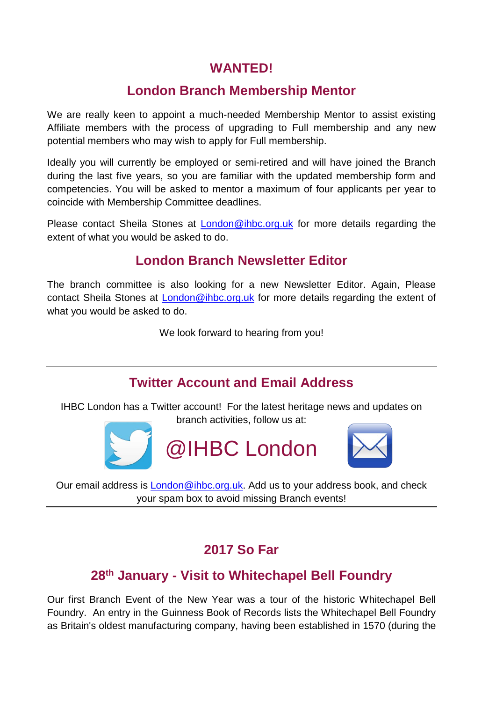#### **WANTED!**

#### **London Branch Membership Mentor**

We are really keen to appoint a much-needed Membership Mentor to assist existing Affiliate members with the process of upgrading to Full membership and any new potential members who may wish to apply for Full membership.

Ideally you will currently be employed or semi-retired and will have joined the Branch during the last five years, so you are familiar with the updated membership form and competencies. You will be asked to mentor a maximum of four applicants per year to coincide with Membership Committee deadlines.

Please contact Sheila Stones at [London@ihbc.org.uk](mailto:London@ihbc.org.uk) for more details regarding the extent of what you would be asked to do.

#### **London Branch Newsletter Editor**

The branch committee is also looking for a new Newsletter Editor. Again, Please contact Sheila Stones at [London@ihbc.org.uk](mailto:London@ihbc.org.uk) for more details regarding the extent of what you would be asked to do.

We look forward to hearing from you!

#### **Twitter Account and Email Address**

IHBC London has a Twitter account! For the latest heritage news and updates on branch activities, follow us at:





Our email address is [London@ihbc.org.uk.](mailto:London@ihbc.org.uk) Add us to your address book, and check your spam box to avoid missing Branch events!

### **2017 So Far**

### **28th January - Visit to Whitechapel Bell Foundry**

Our first Branch Event of the New Year was a tour of the historic Whitechapel Bell Foundry. An entry in the Guinness Book of Records lists the Whitechapel Bell Foundry as Britain's oldest manufacturing company, having been established in 1570 (during the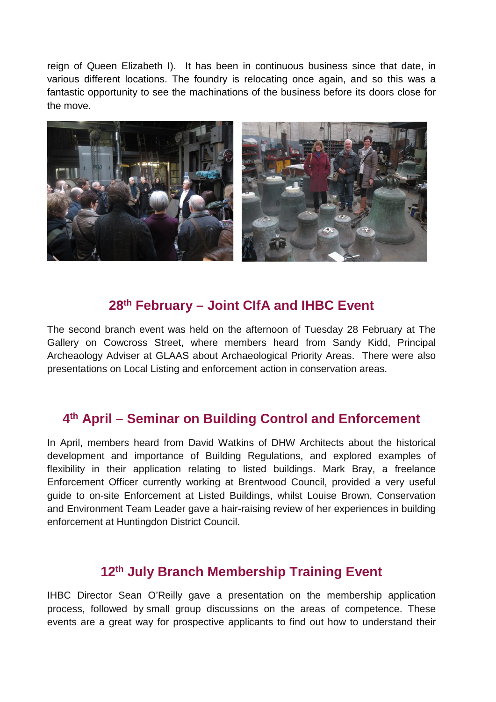reign of Queen Elizabeth I). It has been in continuous business since that date, in various different locations. The foundry is relocating once again, and so this was a fantastic opportunity to see the machinations of the business before its doors close for the move.



#### **28th February – Joint CIfA and IHBC Event**

The second branch event was held on the afternoon of Tuesday 28 February at The Gallery on Cowcross Street, where members heard from Sandy Kidd, Principal Archeaology Adviser at GLAAS about Archaeological Priority Areas. There were also presentations on Local Listing and enforcement action in conservation areas.

#### **4th April – Seminar on Building Control and Enforcement**

In April, members heard from David Watkins of DHW Architects about the historical development and importance of Building Regulations, and explored examples of flexibility in their application relating to listed buildings. Mark Bray, a freelance Enforcement Officer currently working at Brentwood Council, provided a very useful guide to on-site Enforcement at Listed Buildings, whilst Louise Brown, Conservation and Environment Team Leader gave a hair-raising review of her experiences in building enforcement at Huntingdon District Council.

#### **12th July Branch Membership Training Event**

IHBC Director Sean O'Reilly gave a presentation on the membership application process, followed by small group discussions on the areas of competence. These events are a great way for prospective applicants to find out how to understand their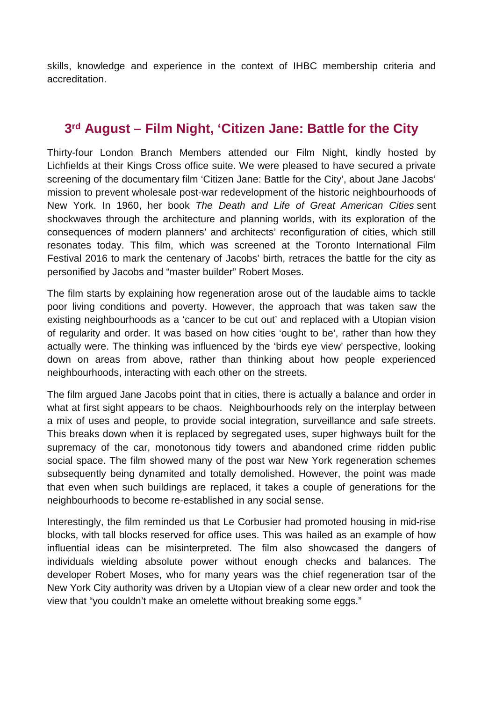skills, knowledge and experience in the context of IHBC membership criteria and accreditation.

#### **3rd August – Film Night, 'Citizen Jane: Battle for the City**

Thirty-four London Branch Members attended our Film Night, kindly hosted by Lichfields at their Kings Cross office suite. We were pleased to have secured a private screening of the documentary film 'Citizen Jane: Battle for the City', about Jane Jacobs' mission to prevent wholesale post-war redevelopment of the historic neighbourhoods of New York. In 1960, her book *The Death and Life of Great American Cities* sent shockwaves through the architecture and planning worlds, with its exploration of the consequences of modern planners' and architects' reconfiguration of cities, which still resonates today. This film, which was screened at the Toronto International Film Festival 2016 to mark the centenary of Jacobs' birth, retraces the battle for the city as personified by Jacobs and "master builder" Robert Moses.

The film starts by explaining how regeneration arose out of the laudable aims to tackle poor living conditions and poverty. However, the approach that was taken saw the existing neighbourhoods as a 'cancer to be cut out' and replaced with a Utopian vision of regularity and order. It was based on how cities 'ought to be', rather than how they actually were. The thinking was influenced by the 'birds eye view' perspective, looking down on areas from above, rather than thinking about how people experienced neighbourhoods, interacting with each other on the streets.

The film argued Jane Jacobs point that in cities, there is actually a balance and order in what at first sight appears to be chaos. Neighbourhoods rely on the interplay between a mix of uses and people, to provide social integration, surveillance and safe streets. This breaks down when it is replaced by segregated uses, super highways built for the supremacy of the car, monotonous tidy towers and abandoned crime ridden public social space. The film showed many of the post war New York regeneration schemes subsequently being dynamited and totally demolished. However, the point was made that even when such buildings are replaced, it takes a couple of generations for the neighbourhoods to become re-established in any social sense.

Interestingly, the film reminded us that Le Corbusier had promoted housing in mid-rise blocks, with tall blocks reserved for office uses. This was hailed as an example of how influential ideas can be misinterpreted. The film also showcased the dangers of individuals wielding absolute power without enough checks and balances. The developer Robert Moses, who for many years was the chief regeneration tsar of the New York City authority was driven by a Utopian view of a clear new order and took the view that "you couldn't make an omelette without breaking some eggs."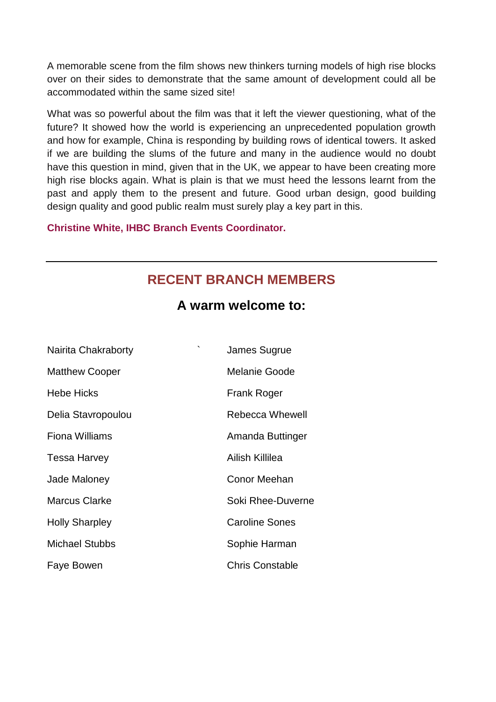A memorable scene from the film shows new thinkers turning models of high rise blocks over on their sides to demonstrate that the same amount of development could all be accommodated within the same sized site!

What was so powerful about the film was that it left the viewer questioning, what of the future? It showed how the world is experiencing an unprecedented population growth and how for example, China is responding by building rows of identical towers. It asked if we are building the slums of the future and many in the audience would no doubt have this question in mind, given that in the UK, we appear to have been creating more high rise blocks again. What is plain is that we must heed the lessons learnt from the past and apply them to the present and future. Good urban design, good building design quality and good public realm must surely play a key part in this.

**Christine White, IHBC Branch Events Coordinator.**

#### **RECENT BRANCH MEMBERS**

#### **A warm welcome to:**

| $\overline{\phantom{a}}$<br>Nairita Chakraborty | James Sugrue           |
|-------------------------------------------------|------------------------|
| <b>Matthew Cooper</b>                           | <b>Melanie Goode</b>   |
| <b>Hebe Hicks</b>                               | Frank Roger            |
| Delia Stavropoulou                              | <b>Rebecca Whewell</b> |
| <b>Fiona Williams</b>                           | Amanda Buttinger       |
| Tessa Harvey                                    | Ailish Killilea        |
| Jade Maloney                                    | Conor Meehan           |
| <b>Marcus Clarke</b>                            | Soki Rhee-Duverne      |
| <b>Holly Sharpley</b>                           | <b>Caroline Sones</b>  |
| <b>Michael Stubbs</b>                           | Sophie Harman          |
| Faye Bowen                                      | <b>Chris Constable</b> |